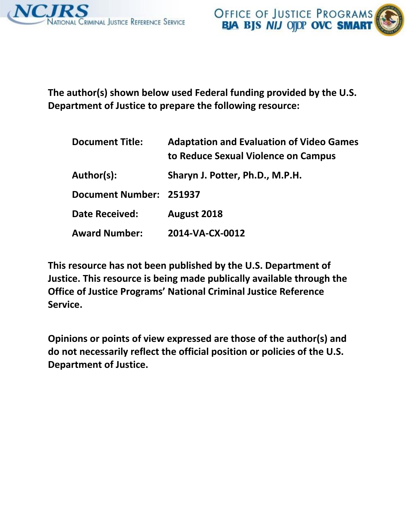

**The author(s) shown below used Federal funding provided by the U.S. Department of Justice to prepare the following resource:** 

| <b>Document Title:</b>  | <b>Adaptation and Evaluation of Video Games</b><br>to Reduce Sexual Violence on Campus |
|-------------------------|----------------------------------------------------------------------------------------|
| Author(s):              | Sharyn J. Potter, Ph.D., M.P.H.                                                        |
| Document Number: 251937 |                                                                                        |
| <b>Date Received:</b>   | August 2018                                                                            |
| <b>Award Number:</b>    | 2014-VA-CX-0012                                                                        |

**This resource has not been published by the U.S. Department of Justice. This resource is being made publically available through the Office of Justice Programs' National Criminal Justice Reference Service.** 

**Opinions or points of view expressed are those of the author(s) and do not necessarily reflect the official position or policies of the U.S. Department of Justice.**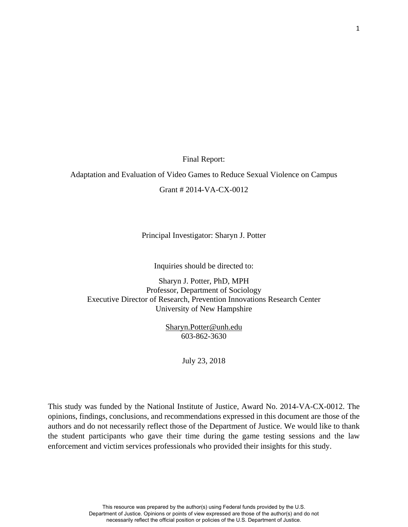Final Report:

Adaptation and Evaluation of Video Games to Reduce Sexual Violence on Campus

Grant # 2014-VA-CX-0012

Principal Investigator: Sharyn J. Potter

Inquiries should be directed to:

Sharyn J. Potter, PhD, MPH Professor, Department of Sociology Executive Director of Research, Prevention Innovations Research Center University of New Hampshire

> [Sharyn.Potter@unh.edu](mailto:Sharyn.Potter@unh.edu) 603-862-3630

> > July 23, 2018

This study was funded by the National Institute of Justice, Award No. 2014-VA-CX-0012. The opinions, findings, conclusions, and recommendations expressed in this document are those of the authors and do not necessarily reflect those of the Department of Justice. We would like to thank the student participants who gave their time during the game testing sessions and the law enforcement and victim services professionals who provided their insights for this study.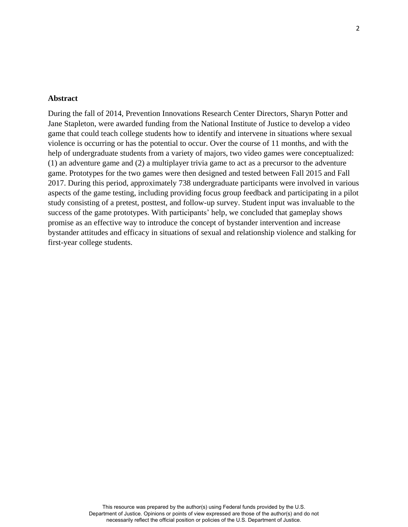## **Abstract**

During the fall of 2014, Prevention Innovations Research Center Directors, Sharyn Potter and Jane Stapleton, were awarded funding from the National Institute of Justice to develop a video game that could teach college students how to identify and intervene in situations where sexual violence is occurring or has the potential to occur. Over the course of 11 months, and with the help of undergraduate students from a variety of majors, two video games were conceptualized: (1) an adventure game and (2) a multiplayer trivia game to act as a precursor to the adventure game. Prototypes for the two games were then designed and tested between Fall 2015 and Fall 2017. During this period, approximately 738 undergraduate participants were involved in various aspects of the game testing, including providing focus group feedback and participating in a pilot study consisting of a pretest, posttest, and follow-up survey. Student input was invaluable to the success of the game prototypes. With participants' help, we concluded that gameplay shows promise as an effective way to introduce the concept of bystander intervention and increase bystander attitudes and efficacy in situations of sexual and relationship violence and stalking for first-year college students.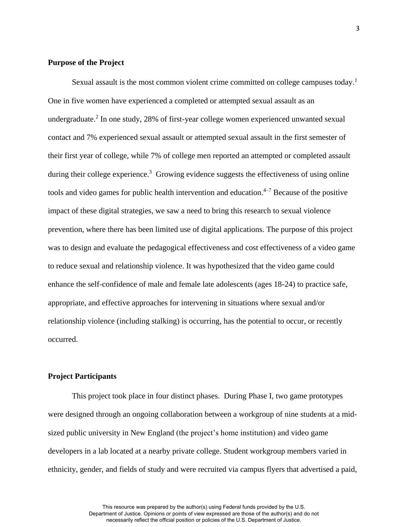# **Purpose of the Project**

Sexual assault is the most common violent crime committed on college campuses today.<sup>1</sup> One in five women have experienced a completed or attempted sexual assault as an undergraduate. 2 In one study, 28% of first-year college women experienced unwanted sexual contact and 7% experienced sexual assault or attempted sexual assault in the first semester of their first year of college, while 7% of college men reported an attempted or completed assault during their college experience.<sup>3</sup> Growing evidence suggests the effectiveness of using online tools and video games for public health intervention and education. 4–7 Because of the positive impact of these digital strategies, we saw a need to bring this research to sexual violence prevention, where there has been limited use of digital applications. The purpose of this project was to design and evaluate the pedagogical effectiveness and cost effectiveness of a video game to reduce sexual and relationship violence. It was hypothesized that the video game could enhance the self-confidence of male and female late adolescents (ages 18-24) to practice safe, appropriate, and effective approaches for intervening in situations where sexual and/or relationship violence (including stalking) is occurring, has the potential to occur, or recently occurred.

## **Project Participants**

This project took place in four distinct phases. During Phase I, two game prototypes were designed through an ongoing collaboration between a workgroup of nine students at a midsized public university in New England (the project's home institution) and video game developers in a lab located at a nearby private college. Student workgroup members varied in ethnicity, gender, and fields of study and were recruited via campus flyers that advertised a paid,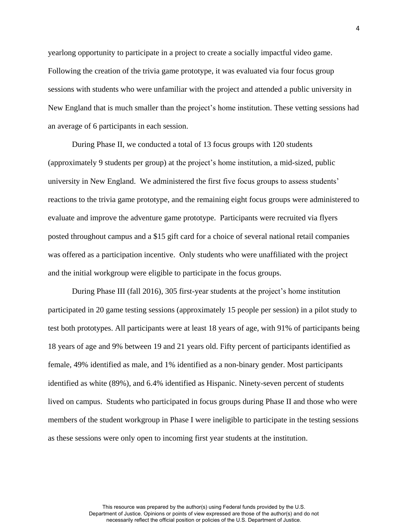yearlong opportunity to participate in a project to create a socially impactful video game. Following the creation of the trivia game prototype, it was evaluated via four focus group sessions with students who were unfamiliar with the project and attended a public university in New England that is much smaller than the project's home institution. These vetting sessions had an average of 6 participants in each session.

During Phase II, we conducted a total of 13 focus groups with 120 students (approximately 9 students per group) at the project's home institution, a mid-sized, public university in New England. We administered the first five focus groups to assess students' reactions to the trivia game prototype, and the remaining eight focus groups were administered to evaluate and improve the adventure game prototype. Participants were recruited via flyers posted throughout campus and a \$15 gift card for a choice of several national retail companies was offered as a participation incentive. Only students who were unaffiliated with the project and the initial workgroup were eligible to participate in the focus groups.

During Phase III (fall 2016), 305 first-year students at the project's home institution participated in 20 game testing sessions (approximately 15 people per session) in a pilot study to test both prototypes. All participants were at least 18 years of age, with 91% of participants being 18 years of age and 9% between 19 and 21 years old. Fifty percent of participants identified as female, 49% identified as male, and 1% identified as a non-binary gender. Most participants identified as white (89%), and 6.4% identified as Hispanic. Ninety-seven percent of students lived on campus. Students who participated in focus groups during Phase II and those who were members of the student workgroup in Phase I were ineligible to participate in the testing sessions as these sessions were only open to incoming first year students at the institution.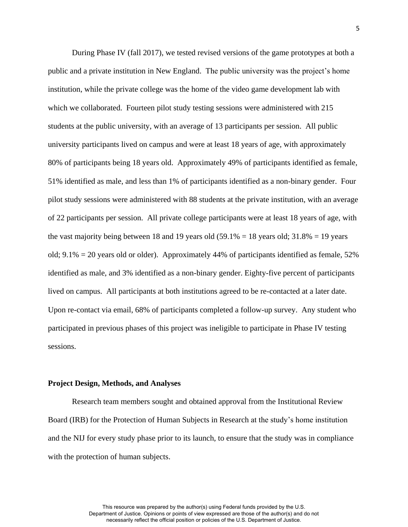During Phase IV (fall 2017), we tested revised versions of the game prototypes at both a public and a private institution in New England. The public university was the project's home institution, while the private college was the home of the video game development lab with which we collaborated. Fourteen pilot study testing sessions were administered with 215 students at the public university, with an average of 13 participants per session. All public university participants lived on campus and were at least 18 years of age, with approximately 80% of participants being 18 years old. Approximately 49% of participants identified as female, 51% identified as male, and less than 1% of participants identified as a non-binary gender. Four pilot study sessions were administered with 88 students at the private institution, with an average of 22 participants per session. All private college participants were at least 18 years of age, with the vast majority being between 18 and 19 years old  $(59.1\% = 18)$  years old; 31.8% = 19 years old;  $9.1\% = 20$  years old or older). Approximately 44% of participants identified as female, 52% identified as male, and 3% identified as a non-binary gender. Eighty-five percent of participants lived on campus. All participants at both institutions agreed to be re-contacted at a later date. Upon re-contact via email, 68% of participants completed a follow-up survey. Any student who participated in previous phases of this project was ineligible to participate in Phase IV testing sessions.

#### **Project Design, Methods, and Analyses**

Research team members sought and obtained approval from the Institutional Review Board (IRB) for the Protection of Human Subjects in Research at the study's home institution and the NIJ for every study phase prior to its launch, to ensure that the study was in compliance with the protection of human subjects.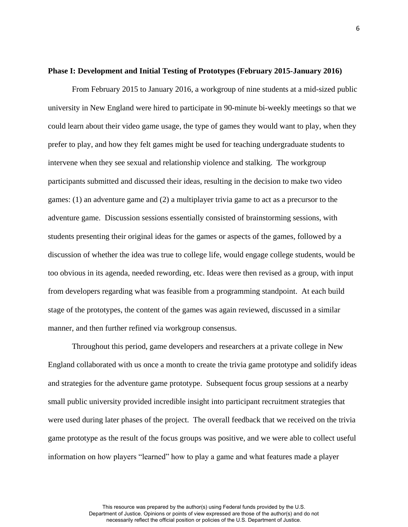## **Phase I: Development and Initial Testing of Prototypes (February 2015-January 2016)**

From February 2015 to January 2016, a workgroup of nine students at a mid-sized public university in New England were hired to participate in 90-minute bi-weekly meetings so that we could learn about their video game usage, the type of games they would want to play, when they prefer to play, and how they felt games might be used for teaching undergraduate students to intervene when they see sexual and relationship violence and stalking. The workgroup participants submitted and discussed their ideas, resulting in the decision to make two video games: (1) an adventure game and (2) a multiplayer trivia game to act as a precursor to the adventure game. Discussion sessions essentially consisted of brainstorming sessions, with students presenting their original ideas for the games or aspects of the games, followed by a discussion of whether the idea was true to college life, would engage college students, would be too obvious in its agenda, needed rewording, etc. Ideas were then revised as a group, with input from developers regarding what was feasible from a programming standpoint. At each build stage of the prototypes, the content of the games was again reviewed, discussed in a similar manner, and then further refined via workgroup consensus.

Throughout this period, game developers and researchers at a private college in New England collaborated with us once a month to create the trivia game prototype and solidify ideas and strategies for the adventure game prototype. Subsequent focus group sessions at a nearby small public university provided incredible insight into participant recruitment strategies that were used during later phases of the project. The overall feedback that we received on the trivia game prototype as the result of the focus groups was positive, and we were able to collect useful information on how players "learned" how to play a game and what features made a player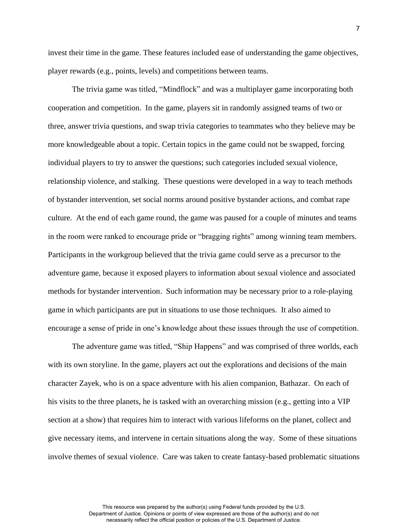invest their time in the game. These features included ease of understanding the game objectives, player rewards (e.g., points, levels) and competitions between teams.

The trivia game was titled, "Mindflock" and was a multiplayer game incorporating both cooperation and competition. In the game, players sit in randomly assigned teams of two or three, answer trivia questions, and swap trivia categories to teammates who they believe may be more knowledgeable about a topic. Certain topics in the game could not be swapped, forcing individual players to try to answer the questions; such categories included sexual violence, relationship violence, and stalking. These questions were developed in a way to teach methods of bystander intervention, set social norms around positive bystander actions, and combat rape culture. At the end of each game round, the game was paused for a couple of minutes and teams in the room were ranked to encourage pride or "bragging rights" among winning team members. Participants in the workgroup believed that the trivia game could serve as a precursor to the adventure game, because it exposed players to information about sexual violence and associated methods for bystander intervention. Such information may be necessary prior to a role-playing game in which participants are put in situations to use those techniques. It also aimed to encourage a sense of pride in one's knowledge about these issues through the use of competition.

The adventure game was titled, "Ship Happens" and was comprised of three worlds, each with its own storyline. In the game, players act out the explorations and decisions of the main character Zayek, who is on a space adventure with his alien companion, Bathazar. On each of his visits to the three planets, he is tasked with an overarching mission (e.g., getting into a VIP section at a show) that requires him to interact with various lifeforms on the planet, collect and give necessary items, and intervene in certain situations along the way. Some of these situations involve themes of sexual violence. Care was taken to create fantasy-based problematic situations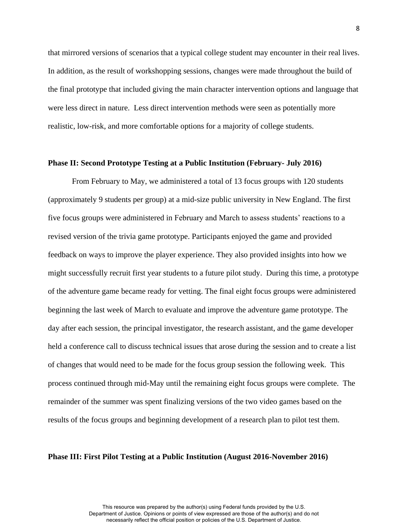that mirrored versions of scenarios that a typical college student may encounter in their real lives. In addition, as the result of workshopping sessions, changes were made throughout the build of the final prototype that included giving the main character intervention options and language that were less direct in nature. Less direct intervention methods were seen as potentially more realistic, low-risk, and more comfortable options for a majority of college students.

## **Phase II: Second Prototype Testing at a Public Institution (February- July 2016)**

From February to May, we administered a total of 13 focus groups with 120 students (approximately 9 students per group) at a mid-size public university in New England. The first five focus groups were administered in February and March to assess students' reactions to a revised version of the trivia game prototype. Participants enjoyed the game and provided feedback on ways to improve the player experience. They also provided insights into how we might successfully recruit first year students to a future pilot study. During this time, a prototype of the adventure game became ready for vetting. The final eight focus groups were administered beginning the last week of March to evaluate and improve the adventure game prototype. The day after each session, the principal investigator, the research assistant, and the game developer held a conference call to discuss technical issues that arose during the session and to create a list of changes that would need to be made for the focus group session the following week. This process continued through mid-May until the remaining eight focus groups were complete. The remainder of the summer was spent finalizing versions of the two video games based on the results of the focus groups and beginning development of a research plan to pilot test them.

#### **Phase III: First Pilot Testing at a Public Institution (August 2016-November 2016)**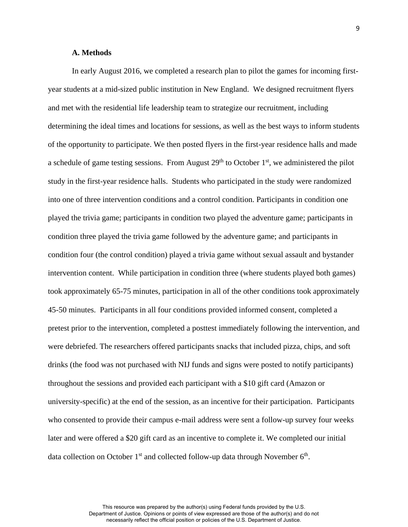# **A. Methods**

In early August 2016, we completed a research plan to pilot the games for incoming firstyear students at a mid-sized public institution in New England. We designed recruitment flyers and met with the residential life leadership team to strategize our recruitment, including determining the ideal times and locations for sessions, as well as the best ways to inform students of the opportunity to participate. We then posted flyers in the first-year residence halls and made a schedule of game testing sessions. From August  $29<sup>th</sup>$  to October 1<sup>st</sup>, we administered the pilot study in the first-year residence halls. Students who participated in the study were randomized into one of three intervention conditions and a control condition. Participants in condition one played the trivia game; participants in condition two played the adventure game; participants in condition three played the trivia game followed by the adventure game; and participants in condition four (the control condition) played a trivia game without sexual assault and bystander intervention content. While participation in condition three (where students played both games) took approximately 65-75 minutes, participation in all of the other conditions took approximately 45-50 minutes. Participants in all four conditions provided informed consent, completed a pretest prior to the intervention, completed a posttest immediately following the intervention, and were debriefed. The researchers offered participants snacks that included pizza, chips, and soft drinks (the food was not purchased with NIJ funds and signs were posted to notify participants) throughout the sessions and provided each participant with a \$10 gift card (Amazon or university-specific) at the end of the session, as an incentive for their participation. Participants who consented to provide their campus e-mail address were sent a follow-up survey four weeks later and were offered a \$20 gift card as an incentive to complete it. We completed our initial data collection on October  $1<sup>st</sup>$  and collected follow-up data through November  $6<sup>th</sup>$ .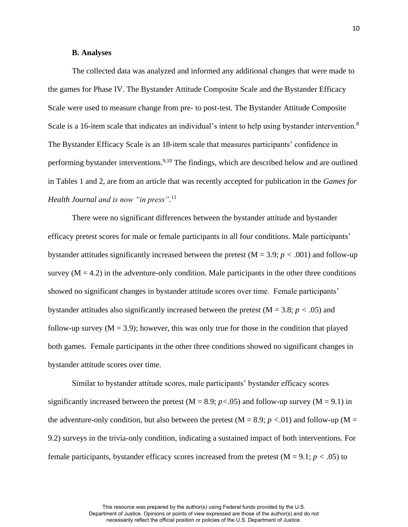# **B. Analyses**

The collected data was analyzed and informed any additional changes that were made to the games for Phase IV. The Bystander Attitude Composite Scale and the Bystander Efficacy Scale were used to measure change from pre- to post-test. The Bystander Attitude Composite Scale is a 16-item scale that indicates an individual's intent to help using bystander intervention.<sup>8</sup> The Bystander Efficacy Scale is an 18-item scale that measures participants' confidence in performing bystander interventions.<sup>9,10</sup> The findings, which are described below and are outlined in Tables 1 and 2, are from an article that was recently accepted for publication in the *Games for Health Journal and is now "in press".* 11

There were no significant differences between the bystander attitude and bystander efficacy pretest scores for male or female participants in all four conditions. Male participants' bystander attitudes significantly increased between the pretest  $(M = 3.9; p < .001)$  and follow-up survey  $(M = 4.2)$  in the adventure-only condition. Male participants in the other three conditions showed no significant changes in bystander attitude scores over time. Female participants' bystander attitudes also significantly increased between the pretest (M = 3.8; *p <* .05) and follow-up survey  $(M = 3.9)$ ; however, this was only true for those in the condition that played both games.Female participants in the other three conditions showed no significant changes in bystander attitude scores over time.

Similar to bystander attitude scores, male participants' bystander efficacy scores significantly increased between the pretest ( $M = 8.9$ ;  $p < .05$ ) and follow-up survey ( $M = 9.1$ ) in the adventure-only condition, but also between the pretest  $(M = 8.9; p < .01)$  and follow-up  $(M =$ 9.2) surveys in the trivia-only condition, indicating a sustained impact of both interventions. For female participants, bystander efficacy scores increased from the pretest (M = 9.1; *p <* .05) to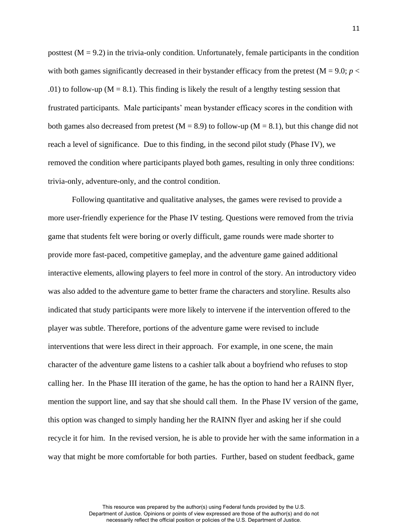posttest  $(M = 9.2)$  in the trivia-only condition. Unfortunately, female participants in the condition with both games significantly decreased in their bystander efficacy from the pretest  $(M = 9.0; p <$ .01) to follow-up ( $M = 8.1$ ). This finding is likely the result of a lengthy testing session that frustrated participants. Male participants' mean bystander efficacy scores in the condition with both games also decreased from pretest  $(M = 8.9)$  to follow-up  $(M = 8.1)$ , but this change did not reach a level of significance. Due to this finding, in the second pilot study (Phase IV), we removed the condition where participants played both games, resulting in only three conditions: trivia-only, adventure-only, and the control condition.

Following quantitative and qualitative analyses, the games were revised to provide a more user-friendly experience for the Phase IV testing. Questions were removed from the trivia game that students felt were boring or overly difficult, game rounds were made shorter to provide more fast-paced, competitive gameplay, and the adventure game gained additional interactive elements, allowing players to feel more in control of the story. An introductory video was also added to the adventure game to better frame the characters and storyline. Results also indicated that study participants were more likely to intervene if the intervention offered to the player was subtle. Therefore, portions of the adventure game were revised to include interventions that were less direct in their approach. For example, in one scene, the main character of the adventure game listens to a cashier talk about a boyfriend who refuses to stop calling her. In the Phase III iteration of the game, he has the option to hand her a RAINN flyer, mention the support line, and say that she should call them. In the Phase IV version of the game, this option was changed to simply handing her the RAINN flyer and asking her if she could recycle it for him. In the revised version, he is able to provide her with the same information in a way that might be more comfortable for both parties. Further, based on student feedback, game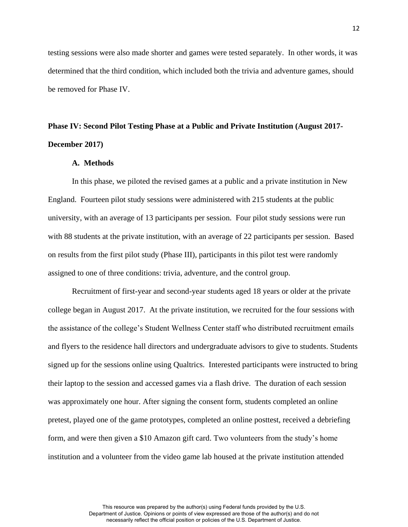testing sessions were also made shorter and games were tested separately. In other words, it was determined that the third condition, which included both the trivia and adventure games, should be removed for Phase IV.

# **Phase IV: Second Pilot Testing Phase at a Public and Private Institution (August 2017- December 2017)**

## **A. Methods**

In this phase, we piloted the revised games at a public and a private institution in New England. Fourteen pilot study sessions were administered with 215 students at the public university, with an average of 13 participants per session. Four pilot study sessions were run with 88 students at the private institution, with an average of 22 participants per session. Based on results from the first pilot study (Phase III), participants in this pilot test were randomly assigned to one of three conditions: trivia, adventure, and the control group.

Recruitment of first-year and second-year students aged 18 years or older at the private college began in August 2017. At the private institution, we recruited for the four sessions with the assistance of the college's Student Wellness Center staff who distributed recruitment emails and flyers to the residence hall directors and undergraduate advisors to give to students. Students signed up for the sessions online using Qualtrics. Interested participants were instructed to bring their laptop to the session and accessed games via a flash drive. The duration of each session was approximately one hour. After signing the consent form, students completed an online pretest, played one of the game prototypes, completed an online posttest, received a debriefing form, and were then given a \$10 Amazon gift card. Two volunteers from the study's home institution and a volunteer from the video game lab housed at the private institution attended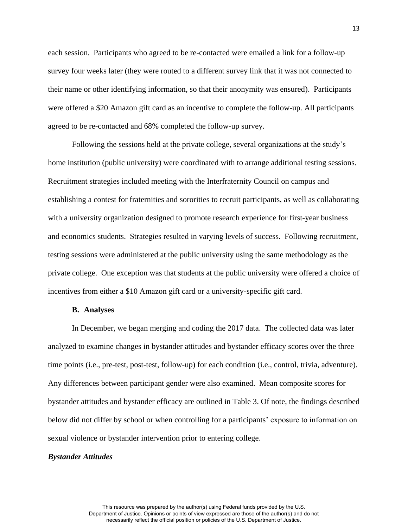each session. Participants who agreed to be re-contacted were emailed a link for a follow-up survey four weeks later (they were routed to a different survey link that it was not connected to their name or other identifying information, so that their anonymity was ensured). Participants were offered a \$20 Amazon gift card as an incentive to complete the follow-up. All participants agreed to be re-contacted and 68% completed the follow-up survey.

Following the sessions held at the private college, several organizations at the study's home institution (public university) were coordinated with to arrange additional testing sessions. Recruitment strategies included meeting with the Interfraternity Council on campus and establishing a contest for fraternities and sororities to recruit participants, as well as collaborating with a university organization designed to promote research experience for first-year business and economics students. Strategies resulted in varying levels of success. Following recruitment, testing sessions were administered at the public university using the same methodology as the private college. One exception was that students at the public university were offered a choice of incentives from either a \$10 Amazon gift card or a university-specific gift card.

# **B. Analyses**

In December, we began merging and coding the 2017 data. The collected data was later analyzed to examine changes in bystander attitudes and bystander efficacy scores over the three time points (i.e., pre-test, post-test, follow-up) for each condition (i.e., control, trivia, adventure). Any differences between participant gender were also examined. Mean composite scores for bystander attitudes and bystander efficacy are outlined in Table 3. Of note, the findings described below did not differ by school or when controlling for a participants' exposure to information on sexual violence or bystander intervention prior to entering college.

#### *Bystander Attitudes*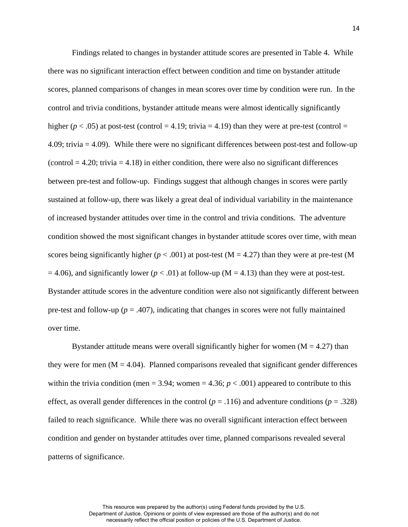Findings related to changes in bystander attitude scores are presented in Table 4. While there was no significant interaction effect between condition and time on bystander attitude scores, planned comparisons of changes in mean scores over time by condition were run. In the control and trivia conditions, bystander attitude means were almost identically significantly higher ( $p < .05$ ) at post-test (control = 4.19; trivia = 4.19) than they were at pre-test (control = 4.09; trivia = 4.09). While there were no significant differences between post-test and follow-up  $(control = 4.20; trivial = 4.18)$  in either condition, there were also no significant differences between pre-test and follow-up. Findings suggest that although changes in scores were partly sustained at follow-up, there was likely a great deal of individual variability in the maintenance of increased bystander attitudes over time in the control and trivia conditions. The adventure condition showed the most significant changes in bystander attitude scores over time, with mean scores being significantly higher ( $p < .001$ ) at post-test ( $M = 4.27$ ) than they were at pre-test (M  $= 4.06$ ), and significantly lower ( $p < .01$ ) at follow-up (M = 4.13) than they were at post-test. Bystander attitude scores in the adventure condition were also not significantly different between pre-test and follow-up ( $p = .407$ ), indicating that changes in scores were not fully maintained over time.

Bystander attitude means were overall significantly higher for women  $(M = 4.27)$  than they were for men  $(M = 4.04)$ . Planned comparisons revealed that significant gender differences within the trivia condition (men = 3.94; women = 4.36;  $p < .001$ ) appeared to contribute to this effect, as overall gender differences in the control ( $p = .116$ ) and adventure conditions ( $p = .328$ ) failed to reach significance. While there was no overall significant interaction effect between condition and gender on bystander attitudes over time, planned comparisons revealed several patterns of significance.

necessarily reflect the official position or policies of the U.S. Department of Justice.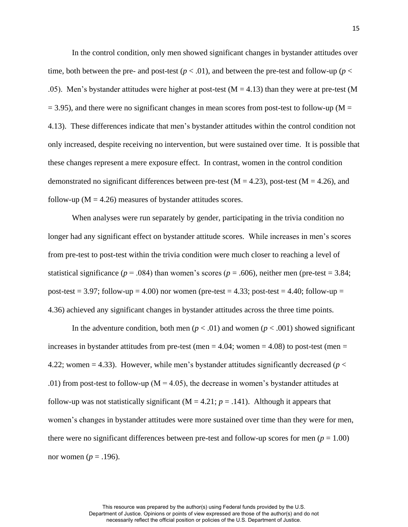In the control condition, only men showed significant changes in bystander attitudes over time, both between the pre- and post-test  $(p < .01)$ , and between the pre-test and follow-up  $(p <$ .05). Men's bystander attitudes were higher at post-test  $(M = 4.13)$  than they were at pre-test (M)  $= 3.95$ ), and there were no significant changes in mean scores from post-test to follow-up (M = 4.13). These differences indicate that men's bystander attitudes within the control condition not only increased, despite receiving no intervention, but were sustained over time. It is possible that these changes represent a mere exposure effect. In contrast, women in the control condition demonstrated no significant differences between pre-test ( $M = 4.23$ ), post-test ( $M = 4.26$ ), and follow-up ( $M = 4.26$ ) measures of bystander attitudes scores.

When analyses were run separately by gender, participating in the trivia condition no longer had any significant effect on bystander attitude scores. While increases in men's scores from pre-test to post-test within the trivia condition were much closer to reaching a level of statistical significance ( $p = .084$ ) than women's scores ( $p = .606$ ), neither men (pre-test = 3.84; post-test = 3.97; follow-up = 4.00) nor women (pre-test = 4.33; post-test = 4.40; follow-up = 4.36) achieved any significant changes in bystander attitudes across the three time points.

In the adventure condition, both men ( $p < .01$ ) and women ( $p < .001$ ) showed significant increases in bystander attitudes from pre-test (men  $=$  4.04; women  $=$  4.08) to post-test (men  $=$ 4.22; women = 4.33). However, while men's bystander attitudes significantly decreased (*p* < .01) from post-test to follow-up ( $M = 4.05$ ), the decrease in women's bystander attitudes at follow-up was not statistically significant ( $M = 4.21$ ;  $p = .141$ ). Although it appears that women's changes in bystander attitudes were more sustained over time than they were for men, there were no significant differences between pre-test and follow-up scores for men  $(p = 1.00)$ nor women ( $p = .196$ ).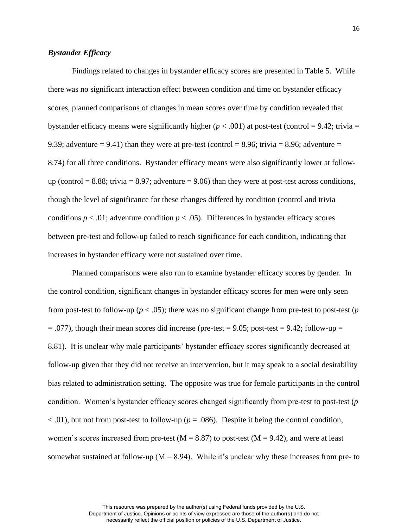# *Bystander Efficacy*

Findings related to changes in bystander efficacy scores are presented in Table 5. While there was no significant interaction effect between condition and time on bystander efficacy scores, planned comparisons of changes in mean scores over time by condition revealed that bystander efficacy means were significantly higher ( $p < .001$ ) at post-test (control = 9.42; trivia = 9.39; adventure  $= 9.41$ ) than they were at pre-test (control  $= 8.96$ ; trivia  $= 8.96$ ; adventure  $=$ 8.74) for all three conditions. Bystander efficacy means were also significantly lower at followup (control  $= 8.88$ ; trivia  $= 8.97$ ; adventure  $= 9.06$ ) than they were at post-test across conditions, though the level of significance for these changes differed by condition (control and trivia conditions  $p < .01$ ; adventure condition  $p < .05$ ). Differences in bystander efficacy scores between pre-test and follow-up failed to reach significance for each condition, indicating that increases in bystander efficacy were not sustained over time.

Planned comparisons were also run to examine bystander efficacy scores by gender. In the control condition, significant changes in bystander efficacy scores for men were only seen from post-test to follow-up ( $p < .05$ ); there was no significant change from pre-test to post-test ( $p$ )  $= .077$ ), though their mean scores did increase (pre-test  $= 9.05$ ; post-test  $= 9.42$ ; follow-up  $=$ 8.81). It is unclear why male participants' bystander efficacy scores significantly decreased at follow-up given that they did not receive an intervention, but it may speak to a social desirability bias related to administration setting. The opposite was true for female participants in the control condition. Women's bystander efficacy scores changed significantly from pre-test to post-test (*p*  $<$  0.01), but not from post-test to follow-up ( $p = 0.086$ ). Despite it being the control condition, women's scores increased from pre-test ( $M = 8.87$ ) to post-test ( $M = 9.42$ ), and were at least somewhat sustained at follow-up ( $M = 8.94$ ). While it's unclear why these increases from pre- to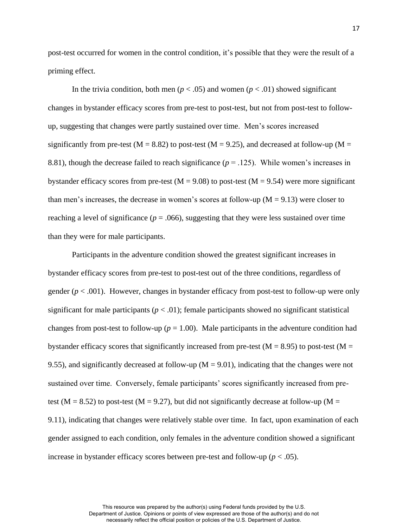post-test occurred for women in the control condition, it's possible that they were the result of a priming effect.

In the trivia condition, both men ( $p < .05$ ) and women ( $p < .01$ ) showed significant changes in bystander efficacy scores from pre-test to post-test, but not from post-test to followup, suggesting that changes were partly sustained over time. Men's scores increased significantly from pre-test ( $M = 8.82$ ) to post-test ( $M = 9.25$ ), and decreased at follow-up ( $M =$ 8.81), though the decrease failed to reach significance  $(p = .125)$ . While women's increases in bystander efficacy scores from pre-test ( $M = 9.08$ ) to post-test ( $M = 9.54$ ) were more significant than men's increases, the decrease in women's scores at follow-up  $(M = 9.13)$  were closer to reaching a level of significance ( $p = .066$ ), suggesting that they were less sustained over time than they were for male participants.

Participants in the adventure condition showed the greatest significant increases in bystander efficacy scores from pre-test to post-test out of the three conditions, regardless of gender  $(p < .001)$ . However, changes in bystander efficacy from post-test to follow-up were only significant for male participants  $(p < .01)$ ; female participants showed no significant statistical changes from post-test to follow-up ( $p = 1.00$ ). Male participants in the adventure condition had bystander efficacy scores that significantly increased from pre-test ( $M = 8.95$ ) to post-test ( $M =$ 9.55), and significantly decreased at follow-up  $(M = 9.01)$ , indicating that the changes were not sustained over time. Conversely, female participants' scores significantly increased from pretest ( $M = 8.52$ ) to post-test ( $M = 9.27$ ), but did not significantly decrease at follow-up ( $M =$ 9.11), indicating that changes were relatively stable over time. In fact, upon examination of each gender assigned to each condition, only females in the adventure condition showed a significant increase in bystander efficacy scores between pre-test and follow-up ( $p < .05$ ).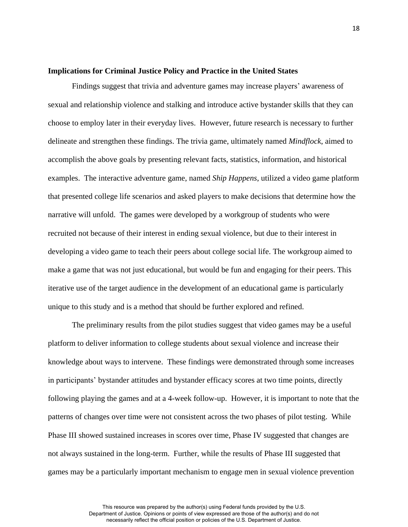## **Implications for Criminal Justice Policy and Practice in the United States**

Findings suggest that trivia and adventure games may increase players' awareness of sexual and relationship violence and stalking and introduce active bystander skills that they can choose to employ later in their everyday lives. However, future research is necessary to further delineate and strengthen these findings. The trivia game, ultimately named *Mindflock*, aimed to accomplish the above goals by presenting relevant facts, statistics, information, and historical examples. The interactive adventure game, named *Ship Happens*, utilized a video game platform that presented college life scenarios and asked players to make decisions that determine how the narrative will unfold. The games were developed by a workgroup of students who were recruited not because of their interest in ending sexual violence, but due to their interest in developing a video game to teach their peers about college social life. The workgroup aimed to make a game that was not just educational, but would be fun and engaging for their peers. This iterative use of the target audience in the development of an educational game is particularly unique to this study and is a method that should be further explored and refined.

The preliminary results from the pilot studies suggest that video games may be a useful platform to deliver information to college students about sexual violence and increase their knowledge about ways to intervene. These findings were demonstrated through some increases in participants' bystander attitudes and bystander efficacy scores at two time points, directly following playing the games and at a 4-week follow-up. However, it is important to note that the patterns of changes over time were not consistent across the two phases of pilot testing. While Phase III showed sustained increases in scores over time, Phase IV suggested that changes are not always sustained in the long-term. Further, while the results of Phase III suggested that games may be a particularly important mechanism to engage men in sexual violence prevention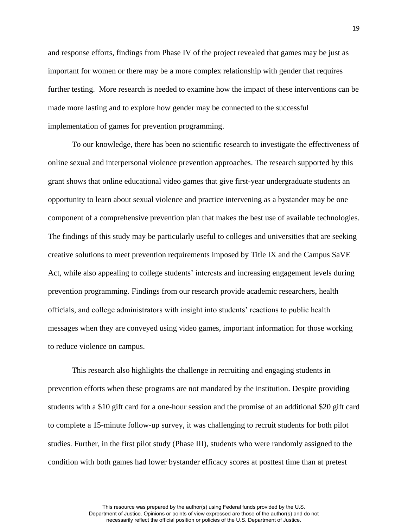and response efforts, findings from Phase IV of the project revealed that games may be just as important for women or there may be a more complex relationship with gender that requires further testing. More research is needed to examine how the impact of these interventions can be made more lasting and to explore how gender may be connected to the successful implementation of games for prevention programming.

To our knowledge, there has been no scientific research to investigate the effectiveness of online sexual and interpersonal violence prevention approaches. The research supported by this grant shows that online educational video games that give first-year undergraduate students an opportunity to learn about sexual violence and practice intervening as a bystander may be one component of a comprehensive prevention plan that makes the best use of available technologies. The findings of this study may be particularly useful to colleges and universities that are seeking creative solutions to meet prevention requirements imposed by Title IX and the Campus SaVE Act, while also appealing to college students' interests and increasing engagement levels during prevention programming. Findings from our research provide academic researchers, health officials, and college administrators with insight into students' reactions to public health messages when they are conveyed using video games, important information for those working to reduce violence on campus.

This research also highlights the challenge in recruiting and engaging students in prevention efforts when these programs are not mandated by the institution. Despite providing students with a \$10 gift card for a one-hour session and the promise of an additional \$20 gift card to complete a 15-minute follow-up survey, it was challenging to recruit students for both pilot studies. Further, in the first pilot study (Phase III), students who were randomly assigned to the condition with both games had lower bystander efficacy scores at posttest time than at pretest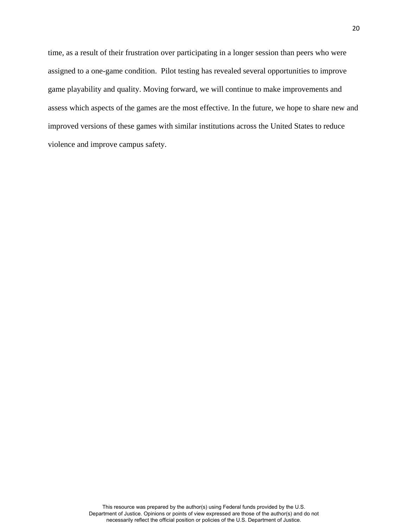time, as a result of their frustration over participating in a longer session than peers who were assigned to a one-game condition. Pilot testing has revealed several opportunities to improve game playability and quality. Moving forward, we will continue to make improvements and assess which aspects of the games are the most effective. In the future, we hope to share new and improved versions of these games with similar institutions across the United States to reduce violence and improve campus safety.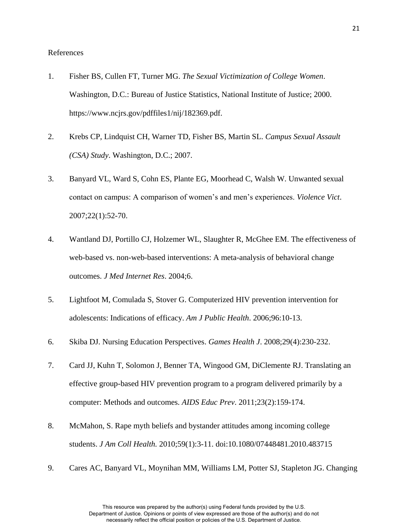## References

- 1. Fisher BS, Cullen FT, Turner MG. *The Sexual Victimization of College Women*. Washington, D.C.: Bureau of Justice Statistics, National Institute of Justice; 2000. https://www.ncjrs.gov/pdffiles1/nij/182369.pdf.
- 2. Krebs CP, Lindquist CH, Warner TD, Fisher BS, Martin SL. *Campus Sexual Assault (CSA) Study*. Washington, D.C.; 2007.
- 3. Banyard VL, Ward S, Cohn ES, Plante EG, Moorhead C, Walsh W. Unwanted sexual contact on campus: A comparison of women's and men's experiences. *Violence Vict*. 2007;22(1):52-70.
- 4. Wantland DJ, Portillo CJ, Holzemer WL, Slaughter R, McGhee EM. The effectiveness of web-based vs. non-web-based interventions: A meta-analysis of behavioral change outcomes. *J Med Internet Res*. 2004;6.
- 5. Lightfoot M, Comulada S, Stover G. Computerized HIV prevention intervention for adolescents: Indications of efficacy. *Am J Public Health*. 2006;96:10-13.
- 6. Skiba DJ. Nursing Education Perspectives. *Games Health J*. 2008;29(4):230-232.
- 7. Card JJ, Kuhn T, Solomon J, Benner TA, Wingood GM, DiClemente RJ. Translating an effective group-based HIV prevention program to a program delivered primarily by a computer: Methods and outcomes. *AIDS Educ Prev*. 2011;23(2):159-174.
- 8. McMahon, S. Rape myth beliefs and bystander attitudes among incoming college students. *J Am Coll Health.* 2010;59(1):3-11. doi:10.1080/07448481.2010.483715
- 9. Cares AC, Banyard VL, Moynihan MM, Williams LM, Potter SJ, Stapleton JG. Changing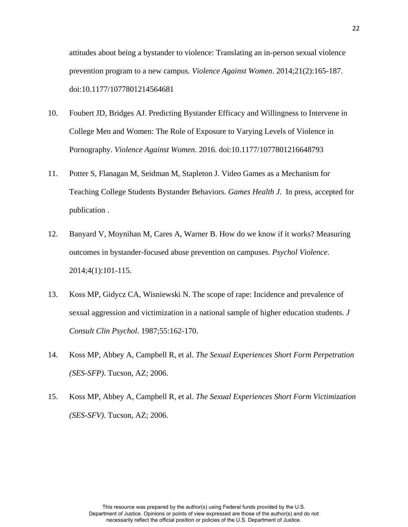attitudes about being a bystander to violence: Translating an in-person sexual violence prevention program to a new campus. *Violence Against Women*. 2014;21(2):165-187. doi:10.1177/1077801214564681

- 10. Foubert JD, Bridges AJ. Predicting Bystander Efficacy and Willingness to Intervene in College Men and Women: The Role of Exposure to Varying Levels of Violence in Pornography. *Violence Against Women*. 2016. doi:10.1177/1077801216648793
- 11. Potter S, Flanagan M, Seidman M, Stapleton J. Video Games as a Mechanism for Teaching College Students Bystander Behaviors. *Games Health J*. In press, accepted for publication .
- 12. Banyard V, Moynihan M, Cares A, Warner B. How do we know if it works? Measuring outcomes in bystander-focused abuse prevention on campuses. *Psychol Violence*. 2014;4(1):101-115.
- 13. Koss MP, Gidycz CA, Wisniewski N. The scope of rape: Incidence and prevalence of sexual aggression and victimization in a national sample of higher education students. *J Consult Clin Psychol*. 1987;55:162-170.
- 14. Koss MP, Abbey A, Campbell R, et al. *The Sexual Experiences Short Form Perpetration (SES-SFP)*. Tucson, AZ; 2006.
- 15. Koss MP, Abbey A, Campbell R, et al. *The Sexual Experiences Short Form Victimization (SES-SFV)*. Tucson, AZ; 2006.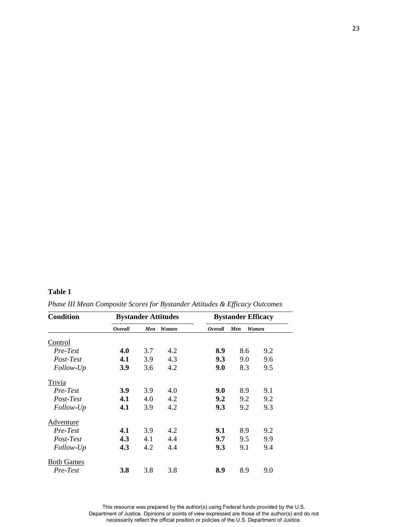## **Table 1**

| <b>Condition</b>              | <b>Bystander Attitudes</b> |     |       | <b>Bystander Efficacy</b> |     |       |
|-------------------------------|----------------------------|-----|-------|---------------------------|-----|-------|
|                               | <b>Overall</b>             | Men | Women | Overall                   | Men | Women |
| Control                       |                            |     |       |                           |     |       |
| Pre-Test                      | 4.0                        | 3.7 | 4.2   | 8.9                       | 8.6 | 9.2   |
| Post-Test                     | 4.1                        | 3.9 | 4.3   | 9.3                       | 9.0 | 9.6   |
| Follow-Up                     | 3.9                        | 3.6 | 4.2   | 9.0                       | 8.3 | 9.5   |
| Trivia                        |                            |     |       |                           |     |       |
| Pre-Test                      | <b>3.9</b>                 | 3.9 | 4.0   | 9.0                       | 8.9 | 9.1   |
| Post-Test                     | 4.1                        | 4.0 | 4.2   | 9.2                       | 9.2 | 9.2   |
| Follow-Up                     | 4.1                        | 3.9 | 4.2   | 9.3                       | 9.2 | 9.3   |
| Adventure                     |                            |     |       |                           |     |       |
| Pre-Test                      | 4.1                        | 3.9 | 4.2   | 9.1                       | 8.9 | 9.2   |
| Post-Test                     | 4.3                        | 4.1 | 4.4   | 9.7                       | 9.5 | 9.9   |
| Follow-Up                     | 4.3                        | 4.2 | 4.4   | 9.3                       | 9.1 | 9.4   |
| <b>Both Games</b><br>Pre-Test | <b>3.8</b>                 | 3.8 | 3.8   | 8.9                       | 8.9 | 9.0   |

*Phase III Mean Composite Scores for Bystander Attitudes & Efficacy Outcomes*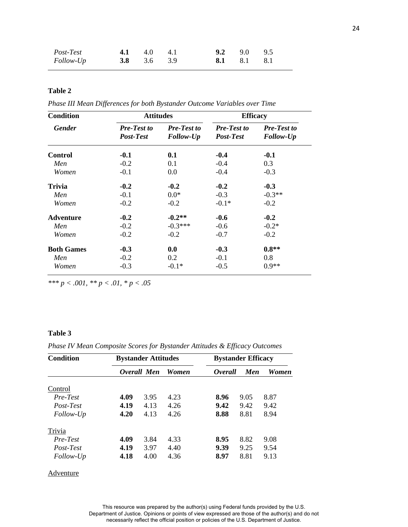| Post-Test<br>4.1 $4.0$ $4.1$<br><i>Follow-Up</i><br>3.8 3.6 3.9 | <b>9.2</b> 9.0 9.5<br>8.1 8.1 8.1 |  |
|-----------------------------------------------------------------|-----------------------------------|--|
|-----------------------------------------------------------------|-----------------------------------|--|

# **Table 2**

*Phase III Mean Differences for both Bystander Outcome Variables over Time* 

| <b>Condition</b>  | <b>Attitudes</b>                |                                 | <b>Efficacy</b>                 |                                 |  |
|-------------------|---------------------------------|---------------------------------|---------------------------------|---------------------------------|--|
| <b>Gender</b>     | <b>Pre-Test to</b><br>Post-Test | <b>Pre-Test to</b><br>Follow-Up | <b>Pre-Test to</b><br>Post-Test | <b>Pre-Test to</b><br>Follow-Up |  |
| <b>Control</b>    | $-0.1$                          | 0.1                             | $-0.4$                          | $-0.1$                          |  |
| Men               | $-0.2$                          | 0.1                             | $-0.4$                          | 0.3                             |  |
| Women             | $-0.1$                          | 0.0                             | $-0.4$                          | $-0.3$                          |  |
| Trivia            | $-0.2$                          | $-0.2$                          | $-0.2$                          | $-0.3$                          |  |
| Men               | $-0.1$                          | $0.0*$                          | $-0.3$                          | $-0.3**$                        |  |
| Women             | $-0.2$                          | $-0.2$                          | $-0.1*$                         | $-0.2$                          |  |
| <b>Adventure</b>  | $-0.2$                          | $-0.2**$                        | $-0.6$                          | $-0.2$                          |  |
| Men               | $-0.2$                          | $-0.3***$                       | $-0.6$                          | $-0.2*$                         |  |
| Women             | $-0.2$                          | $-0.2$                          | $-0.7$                          | $-0.2$                          |  |
| <b>Both Games</b> | $-0.3$                          | 0.0                             | $-0.3$                          | $0.8**$                         |  |
| Men               | $-0.2$                          | 0.2                             | $-0.1$                          | 0.8                             |  |
| Women             | $-0.3$                          | $-0.1*$                         | $-0.5$                          | $0.9**$                         |  |

*\*\*\* p < .001, \*\* p < .01, \* p < .05* 

# **Table 3**

*Phase IV Mean Composite Scores for Bystander Attitudes & Efficacy Outcomes*

| <b>Condition</b> | <b>Bystander Attitudes</b> |      |              | <b>Bystander Efficacy</b> |            |              |
|------------------|----------------------------|------|--------------|---------------------------|------------|--------------|
|                  | Overall Men                |      | <b>Women</b> | <i>Overall</i>            | <b>Men</b> | <b>Women</b> |
| Control          |                            |      |              |                           |            |              |
| Pre-Test         | 4.09                       | 3.95 | 4.23         | 8.96                      | 9.05       | 8.87         |
| Post-Test        | 4.19                       | 4.13 | 4.26         | 9.42                      | 9.42       | 9.42         |
| Follow-Up        | 4.20                       | 4.13 | 4.26         | 8.88                      | 8.81       | 8.94         |
| Trivia           |                            |      |              |                           |            |              |
| Pre-Test         | 4.09                       | 3.84 | 4.33         | 8.95                      | 8.82       | 9.08         |
| Post-Test        | 4.19                       | 3.97 | 4.40         | 9.39                      | 9.25       | 9.54         |
| Follow-Up        | 4.18                       | 4.00 | 4.36         | 8.97                      | 8.81       | 9.13         |

# **Adventure**